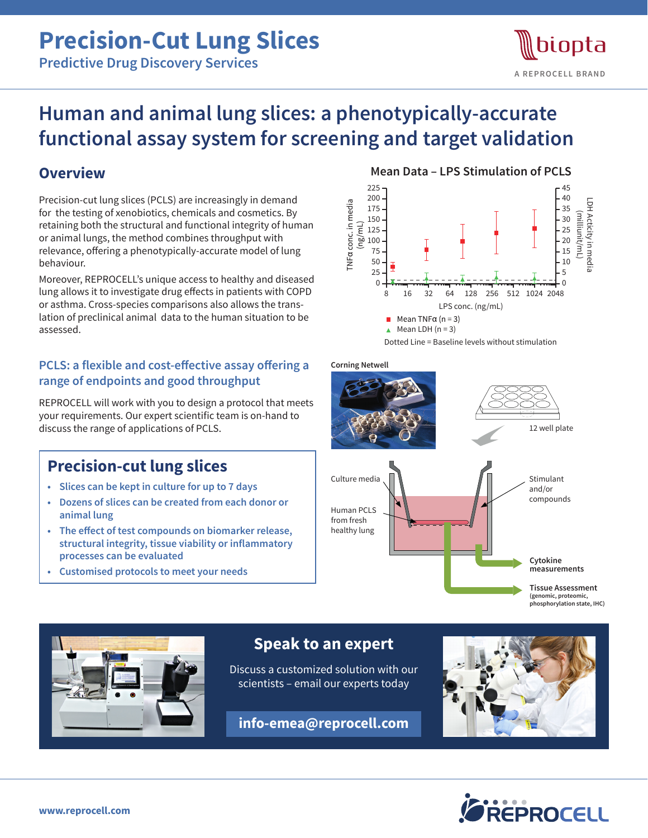# **Precision-Cut Lung Slices**

**Predictive Drug Discovery Services**

## biopta **A REPROCELL BRAND**

## **Human and animal lung slices: a phenotypically-accurate functional assay system for screening and target validation**

## **Overview**

Precision-cut lung slices (PCLS) are increasingly in demand for the testing of xenobiotics, chemicals and cosmetics. By retaining both the structural and functional integrity of human or animal lungs, the method combines throughput with relevance, offering a phenotypically-accurate model of lung behaviour.

Moreover, REPROCELL's unique access to healthy and diseased lung allows it to investigate drug effects in patients with COPD or asthma. Cross-species comparisons also allows the translation of preclinical animal data to the human situation to be assessed.

#### **PCLS: a flexible and cost-effective assay offering a range of endpoints and good throughput**

REPROCELL will work with you to design a protocol that meets your requirements. Our expert scientific team is on-hand to discuss the range of applications of PCLS.

## **Precision-cut lung slices**

- **• Slices can be kept in culture for up to 7 days**
- **• Dozens of slices can be created from each donor or animal lung**
- **• The effect of test compounds on biomarker release, structural integrity, tissue viability or inflammatory processes can be evaluated**
- **• Customised protocols to meet your needs**

#### **Mean Data – LPS Stimulation of PCLS**



Dotted Line = Baseline levels without stimulation

**Corning Netwell**





### **Speak to an expert**

Discuss a customized solution with our scientists – email our experts today

**info-emea@reprocell.com**